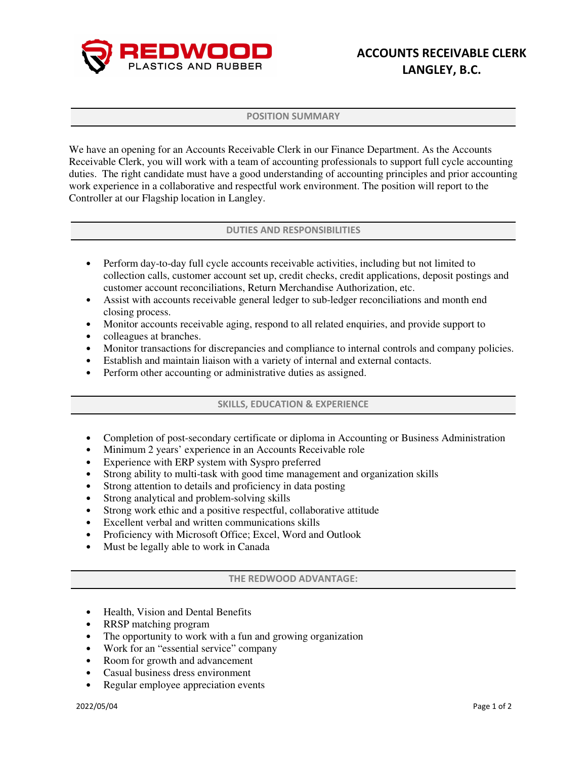

### POSITION SUMMARY

We have an opening for an Accounts Receivable Clerk in our Finance Department. As the Accounts Receivable Clerk, you will work with a team of accounting professionals to support full cycle accounting duties. The right candidate must have a good understanding of accounting principles and prior accounting work experience in a collaborative and respectful work environment. The position will report to the Controller at our Flagship location in Langley.

## DUTIES AND RESPONSIBILITIES

- Perform day-to-day full cycle accounts receivable activities, including but not limited to collection calls, customer account set up, credit checks, credit applications, deposit postings and customer account reconciliations, Return Merchandise Authorization, etc.
- Assist with accounts receivable general ledger to sub-ledger reconciliations and month end closing process.
- Monitor accounts receivable aging, respond to all related enquiries, and provide support to
- colleagues at branches.
- Monitor transactions for discrepancies and compliance to internal controls and company policies.
- Establish and maintain liaison with a variety of internal and external contacts.
- Perform other accounting or administrative duties as assigned.

## SKILLS, EDUCATION & EXPERIENCE

- Completion of post-secondary certificate or diploma in Accounting or Business Administration
- Minimum 2 years' experience in an Accounts Receivable role
- Experience with ERP system with Syspro preferred
- Strong ability to multi-task with good time management and organization skills
- Strong attention to details and proficiency in data posting
- Strong analytical and problem-solving skills
- Strong work ethic and a positive respectful, collaborative attitude
- Excellent verbal and written communications skills
- Proficiency with Microsoft Office; Excel, Word and Outlook
- Must be legally able to work in Canada

## THE REDWOOD ADVANTAGE:

- Health, Vision and Dental Benefits
- RRSP matching program
- The opportunity to work with a fun and growing organization
- Work for an "essential service" company
- Room for growth and advancement
- Casual business dress environment
- Regular employee appreciation events